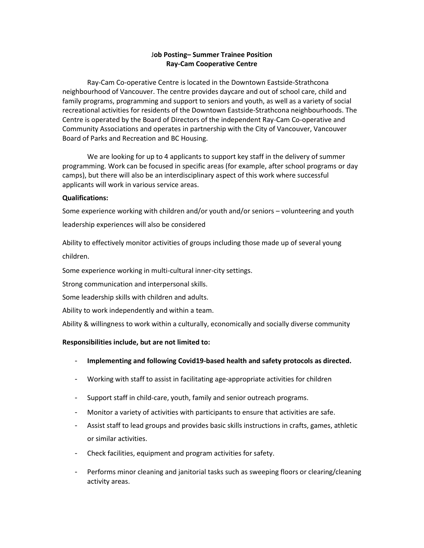# J**ob Posting– Summer Trainee Position Ray-Cam Cooperative Centre**

Ray-Cam Co-operative Centre is located in the Downtown Eastside-Strathcona neighbourhood of Vancouver. The centre provides daycare and out of school care, child and family programs, programming and support to seniors and youth, as well as a variety of social recreational activities for residents of the Downtown Eastside-Strathcona neighbourhoods. The Centre is operated by the Board of Directors of the independent Ray-Cam Co-operative and Community Associations and operates in partnership with the City of Vancouver, Vancouver Board of Parks and Recreation and BC Housing.

We are looking for up to 4 applicants to support key staff in the delivery of summer programming. Work can be focused in specific areas (for example, after school programs or day camps), but there will also be an interdisciplinary aspect of this work where successful applicants will work in various service areas.

## **Qualifications:**

Some experience working with children and/or youth and/or seniors – volunteering and youth leadership experiences will also be considered

Ability to effectively monitor activities of groups including those made up of several young children.

Some experience working in multi-cultural inner-city settings.

Strong communication and interpersonal skills.

Some leadership skills with children and adults.

Ability to work independently and within a team.

Ability & willingness to work within a culturally, economically and socially diverse community

## **Responsibilities include, but are not limited to:**

- **Implementing and following Covid19-based health and safety protocols as directed.**
- Working with staff to assist in facilitating age-appropriate activities for children
- Support staff in child-care, youth, family and senior outreach programs.
- Monitor a variety of activities with participants to ensure that activities are safe.
- Assist staff to lead groups and provides basic skills instructions in crafts, games, athletic or similar activities.
- Check facilities, equipment and program activities for safety.
- Performs minor cleaning and janitorial tasks such as sweeping floors or clearing/cleaning activity areas.